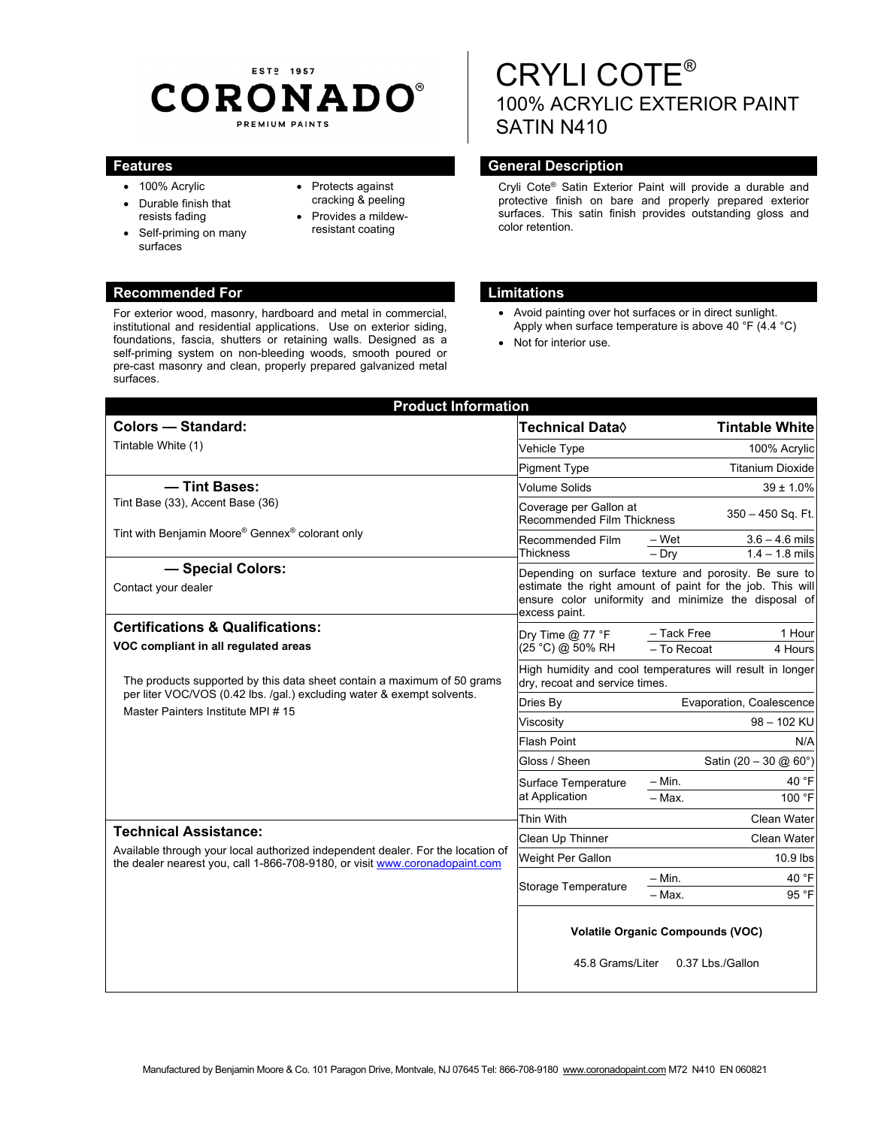## EST<sub>2</sub> 1957 **CORONADO®** PREMIUM PAINTS

foundations, fascia, shutters or retaining walls. Designed as a self-priming system on non-bleeding woods, smooth poured or pre-cast masonry and clean, properly prepared galvanized metal

surfaces.

- 100% Acrylic
- Durable finish that resists fading
- Self-priming on many surfaces
- Protects against cracking & peeling
- Provides a mildewresistant coating

# CRYLI COTE® 100% ACRYLIC EXTERIOR PAINT SATIN N410

#### **Features General Description Ceneral Description**

Cryli Cote® Satin Exterior Paint will provide a durable and protective finish on bare and properly prepared exterior surfaces. This satin finish provides outstanding gloss and color retention.

#### **Recommended For Limitations**

- Avoid painting over hot surfaces or in direct sunlight. Apply when surface temperature is above 40 °F (4.4 °C)
- Not for interior use.

| <b>Product Information</b>                                                                                                                                                                     |                                                                                                                                                                                             |                                                          |
|------------------------------------------------------------------------------------------------------------------------------------------------------------------------------------------------|---------------------------------------------------------------------------------------------------------------------------------------------------------------------------------------------|----------------------------------------------------------|
| <b>Colors - Standard:</b>                                                                                                                                                                      | <b>Technical Data</b> ♦                                                                                                                                                                     | <b>Tintable White</b>                                    |
| Tintable White (1)                                                                                                                                                                             | Vehicle Type                                                                                                                                                                                | 100% Acrylic                                             |
|                                                                                                                                                                                                | <b>Pigment Type</b>                                                                                                                                                                         | <b>Titanium Dioxide</b>                                  |
| - Tint Bases:<br>Tint Base (33), Accent Base (36)                                                                                                                                              | <b>Volume Solids</b>                                                                                                                                                                        | $39 \pm 1.0\%$                                           |
|                                                                                                                                                                                                | Coverage per Gallon at<br><b>Recommended Film Thickness</b>                                                                                                                                 | $350 - 450$ Sq. Ft.                                      |
| Tint with Benjamin Moore® Gennex® colorant only                                                                                                                                                | Recommended Film<br><b>Thickness</b>                                                                                                                                                        | $3.6 - 4.6$ mils<br>– Wet<br>$-$ Drv<br>$1.4 - 1.8$ mils |
| - Special Colors:<br>Contact your dealer                                                                                                                                                       | Depending on surface texture and porosity. Be sure to<br>estimate the right amount of paint for the job. This will<br>ensure color uniformity and minimize the disposal of<br>excess paint. |                                                          |
| <b>Certifications &amp; Qualifications:</b><br>VOC compliant in all regulated areas                                                                                                            | Dry Time $@$ 77 °F<br>(25 °C) @ 50% RH                                                                                                                                                      | - Tack Free<br>1 Hour<br>$-$ To Recoat<br>4 Hours        |
| The products supported by this data sheet contain a maximum of 50 grams<br>per liter VOC/VOS (0.42 lbs. /gal.) excluding water & exempt solvents.<br>Master Painters Institute MPI #15         | High humidity and cool temperatures will result in longer<br>dry, recoat and service times.                                                                                                 |                                                          |
|                                                                                                                                                                                                | Dries By                                                                                                                                                                                    | Evaporation, Coalescence                                 |
|                                                                                                                                                                                                | Viscosity                                                                                                                                                                                   | 98 - 102 KU                                              |
|                                                                                                                                                                                                | <b>Flash Point</b>                                                                                                                                                                          | N/A                                                      |
|                                                                                                                                                                                                | Gloss / Sheen                                                                                                                                                                               | Satin (20 - 30 @ 60°)                                    |
|                                                                                                                                                                                                | Surface Temperature<br>at Application                                                                                                                                                       | - Min.<br>40 °F<br>- Max.<br>100 °F                      |
|                                                                                                                                                                                                | Thin With                                                                                                                                                                                   | <b>Clean Water</b>                                       |
| <b>Technical Assistance:</b><br>Available through your local authorized independent dealer. For the location of<br>the dealer nearest you, call 1-866-708-9180, or visit www.coronadopaint.com | Clean Up Thinner                                                                                                                                                                            | Clean Water                                              |
|                                                                                                                                                                                                | Weight Per Gallon                                                                                                                                                                           | 10.9 lbs                                                 |
|                                                                                                                                                                                                | Storage Temperature                                                                                                                                                                         | 40 °F<br>$-$ Min.                                        |
|                                                                                                                                                                                                |                                                                                                                                                                                             | $-$ Max.<br>95 °F                                        |
|                                                                                                                                                                                                | <b>Volatile Organic Compounds (VOC)</b><br>45.8 Grams/Liter<br>0.37 Lbs./Gallon                                                                                                             |                                                          |

### For exterior wood, masonry, hardboard and metal in commercial, institutional and residential applications. Use on exterior siding,